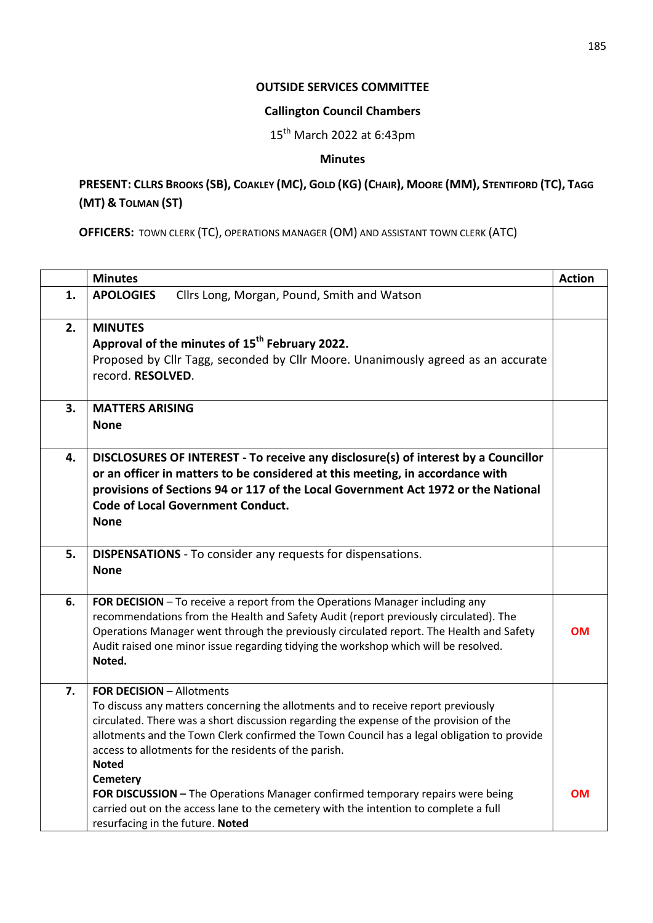## **OUTSIDE SERVICES COMMITTEE**

## **Callington Council Chambers**

 $15^{th}$  March 2022 at 6:43pm

## **Minutes**

## PRESENT: CLLRS BROOKS (SB), COAKLEY (MC), GOLD (KG) (CHAIR), MOORE (MM), STENTIFORD (TC), TAGG **(MT) & TOLMAN (ST)**

**OFFICERS:** TOWN CLERK (TC), OPERATIONS MANAGER (OM) AND ASSISTANT TOWN CLERK (ATC)

|    | <b>Minutes</b>                                                                                                                                                                                                                                                                                                                                                                         | <b>Action</b> |
|----|----------------------------------------------------------------------------------------------------------------------------------------------------------------------------------------------------------------------------------------------------------------------------------------------------------------------------------------------------------------------------------------|---------------|
| 1. | Cllrs Long, Morgan, Pound, Smith and Watson<br><b>APOLOGIES</b>                                                                                                                                                                                                                                                                                                                        |               |
| 2. | <b>MINUTES</b><br>Approval of the minutes of 15 <sup>th</sup> February 2022.<br>Proposed by Cllr Tagg, seconded by Cllr Moore. Unanimously agreed as an accurate<br>record. RESOLVED.                                                                                                                                                                                                  |               |
| 3. | <b>MATTERS ARISING</b><br><b>None</b>                                                                                                                                                                                                                                                                                                                                                  |               |
| 4. | DISCLOSURES OF INTEREST - To receive any disclosure(s) of interest by a Councillor<br>or an officer in matters to be considered at this meeting, in accordance with<br>provisions of Sections 94 or 117 of the Local Government Act 1972 or the National<br><b>Code of Local Government Conduct.</b><br><b>None</b>                                                                    |               |
| 5. | <b>DISPENSATIONS</b> - To consider any requests for dispensations.<br><b>None</b>                                                                                                                                                                                                                                                                                                      |               |
| 6. | FOR DECISION - To receive a report from the Operations Manager including any<br>recommendations from the Health and Safety Audit (report previously circulated). The<br>Operations Manager went through the previously circulated report. The Health and Safety<br>Audit raised one minor issue regarding tidying the workshop which will be resolved.<br>Noted.                       | OМ            |
| 7. | <b>FOR DECISION - Allotments</b><br>To discuss any matters concerning the allotments and to receive report previously<br>circulated. There was a short discussion regarding the expense of the provision of the<br>allotments and the Town Clerk confirmed the Town Council has a legal obligation to provide<br>access to allotments for the residents of the parish.<br><b>Noted</b> |               |
|    | <b>Cemetery</b><br>FOR DISCUSSION - The Operations Manager confirmed temporary repairs were being<br>carried out on the access lane to the cemetery with the intention to complete a full<br>resurfacing in the future. Noted                                                                                                                                                          | <b>OM</b>     |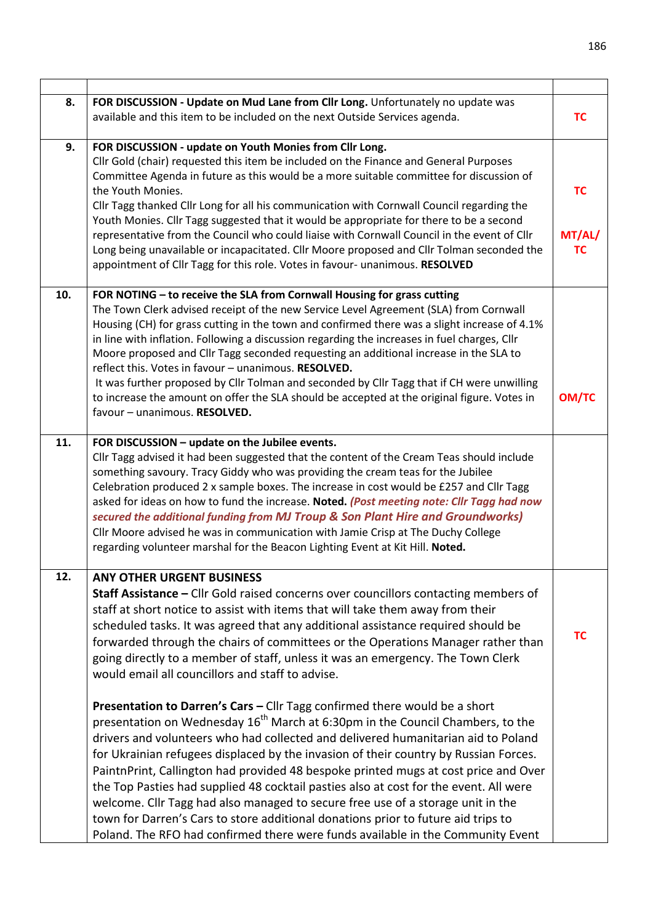| 8.  | FOR DISCUSSION - Update on Mud Lane from Cllr Long. Unfortunately no update was<br>available and this item to be included on the next Outside Services agenda.                                                                                                                                                                                                                                                                                                                                                                                                                                                                                                                                                                                                                                   | <b>TC</b>                        |
|-----|--------------------------------------------------------------------------------------------------------------------------------------------------------------------------------------------------------------------------------------------------------------------------------------------------------------------------------------------------------------------------------------------------------------------------------------------------------------------------------------------------------------------------------------------------------------------------------------------------------------------------------------------------------------------------------------------------------------------------------------------------------------------------------------------------|----------------------------------|
| 9.  | FOR DISCUSSION - update on Youth Monies from Cllr Long.<br>Cllr Gold (chair) requested this item be included on the Finance and General Purposes<br>Committee Agenda in future as this would be a more suitable committee for discussion of<br>the Youth Monies.<br>Cllr Tagg thanked Cllr Long for all his communication with Cornwall Council regarding the<br>Youth Monies. Cllr Tagg suggested that it would be appropriate for there to be a second<br>representative from the Council who could liaise with Cornwall Council in the event of Cllr<br>Long being unavailable or incapacitated. Cllr Moore proposed and Cllr Tolman seconded the<br>appointment of Cllr Tagg for this role. Votes in favour- unanimous. RESOLVED                                                             | <b>TC</b><br>MT/AL/<br><b>TC</b> |
| 10. | FOR NOTING - to receive the SLA from Cornwall Housing for grass cutting<br>The Town Clerk advised receipt of the new Service Level Agreement (SLA) from Cornwall<br>Housing (CH) for grass cutting in the town and confirmed there was a slight increase of 4.1%<br>in line with inflation. Following a discussion regarding the increases in fuel charges, Cllr<br>Moore proposed and Cllr Tagg seconded requesting an additional increase in the SLA to<br>reflect this. Votes in favour - unanimous. RESOLVED.<br>It was further proposed by Cllr Tolman and seconded by Cllr Tagg that if CH were unwilling<br>to increase the amount on offer the SLA should be accepted at the original figure. Votes in<br>favour - unanimous. RESOLVED.                                                  | <b>OM/TC</b>                     |
| 11. | FOR DISCUSSION - update on the Jubilee events.<br>Cllr Tagg advised it had been suggested that the content of the Cream Teas should include<br>something savoury. Tracy Giddy who was providing the cream teas for the Jubilee<br>Celebration produced 2 x sample boxes. The increase in cost would be £257 and Cllr Tagg<br>asked for ideas on how to fund the increase. Noted. (Post meeting note: Cllr Tagg had now<br>secured the additional funding from MJ Troup & Son Plant Hire and Groundworks)<br>Cllr Moore advised he was in communication with Jamie Crisp at The Duchy College<br>regarding volunteer marshal for the Beacon Lighting Event at Kit Hill. Noted.                                                                                                                    |                                  |
| 12. | <b>ANY OTHER URGENT BUSINESS</b><br>Staff Assistance - Cllr Gold raised concerns over councillors contacting members of<br>staff at short notice to assist with items that will take them away from their<br>scheduled tasks. It was agreed that any additional assistance required should be<br>forwarded through the chairs of committees or the Operations Manager rather than<br>going directly to a member of staff, unless it was an emergency. The Town Clerk<br>would email all councillors and staff to advise.                                                                                                                                                                                                                                                                         | <b>TC</b>                        |
|     | Presentation to Darren's Cars - Cllr Tagg confirmed there would be a short<br>presentation on Wednesday 16 <sup>th</sup> March at 6:30pm in the Council Chambers, to the<br>drivers and volunteers who had collected and delivered humanitarian aid to Poland<br>for Ukrainian refugees displaced by the invasion of their country by Russian Forces.<br>PaintnPrint, Callington had provided 48 bespoke printed mugs at cost price and Over<br>the Top Pasties had supplied 48 cocktail pasties also at cost for the event. All were<br>welcome. Cllr Tagg had also managed to secure free use of a storage unit in the<br>town for Darren's Cars to store additional donations prior to future aid trips to<br>Poland. The RFO had confirmed there were funds available in the Community Event |                                  |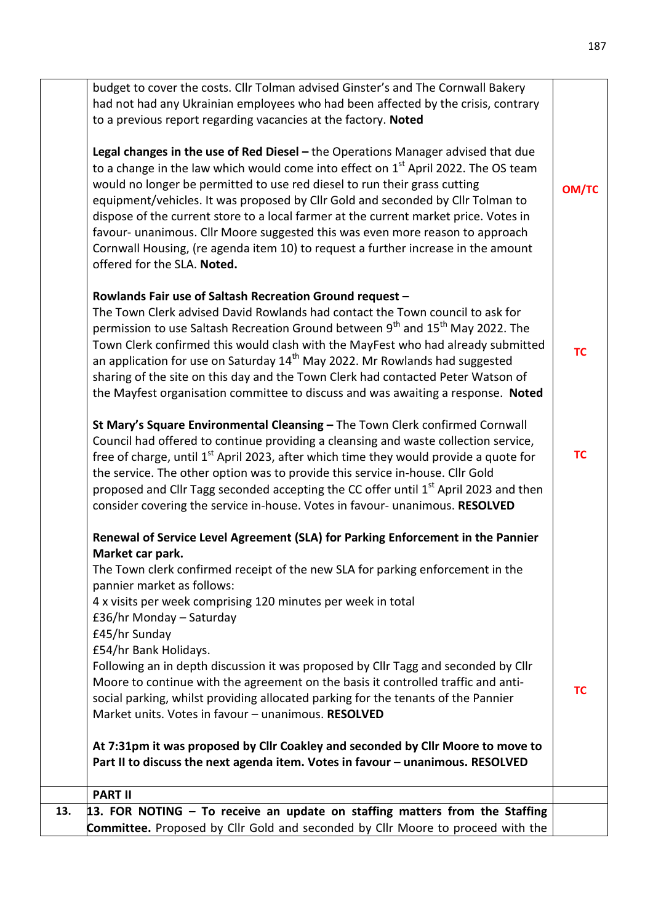| 13. | 13. FOR NOTING $-$ To receive an update on staffing matters from the Staffing<br><b>Committee.</b> Proposed by Cllr Gold and seconded by Cllr Moore to proceed with the                                                                                                                                                                                                                                                                                                                                                                                                                                                                 |              |
|-----|-----------------------------------------------------------------------------------------------------------------------------------------------------------------------------------------------------------------------------------------------------------------------------------------------------------------------------------------------------------------------------------------------------------------------------------------------------------------------------------------------------------------------------------------------------------------------------------------------------------------------------------------|--------------|
|     | <b>PART II</b>                                                                                                                                                                                                                                                                                                                                                                                                                                                                                                                                                                                                                          |              |
|     | At 7:31pm it was proposed by Cllr Coakley and seconded by Cllr Moore to move to<br>Part II to discuss the next agenda item. Votes in favour - unanimous. RESOLVED                                                                                                                                                                                                                                                                                                                                                                                                                                                                       |              |
|     | £45/hr Sunday<br>£54/hr Bank Holidays.<br>Following an in depth discussion it was proposed by Cllr Tagg and seconded by Cllr<br>Moore to continue with the agreement on the basis it controlled traffic and anti-<br>social parking, whilst providing allocated parking for the tenants of the Pannier<br>Market units. Votes in favour - unanimous. RESOLVED                                                                                                                                                                                                                                                                           | <b>TC</b>    |
|     | Market car park.<br>The Town clerk confirmed receipt of the new SLA for parking enforcement in the<br>pannier market as follows:<br>4 x visits per week comprising 120 minutes per week in total<br>£36/hr Monday - Saturday                                                                                                                                                                                                                                                                                                                                                                                                            |              |
|     | St Mary's Square Environmental Cleansing - The Town Clerk confirmed Cornwall<br>Council had offered to continue providing a cleansing and waste collection service,<br>free of charge, until 1 <sup>st</sup> April 2023, after which time they would provide a quote for<br>the service. The other option was to provide this service in-house. Cllr Gold<br>proposed and Cllr Tagg seconded accepting the CC offer until 1 <sup>st</sup> April 2023 and then<br>consider covering the service in-house. Votes in favour- unanimous. RESOLVED<br>Renewal of Service Level Agreement (SLA) for Parking Enforcement in the Pannier        | <b>TC</b>    |
|     | Rowlands Fair use of Saltash Recreation Ground request -<br>The Town Clerk advised David Rowlands had contact the Town council to ask for<br>permission to use Saltash Recreation Ground between 9 <sup>th</sup> and 15 <sup>th</sup> May 2022. The<br>Town Clerk confirmed this would clash with the MayFest who had already submitted<br>an application for use on Saturday 14 <sup>th</sup> May 2022. Mr Rowlands had suggested<br>sharing of the site on this day and the Town Clerk had contacted Peter Watson of<br>the Mayfest organisation committee to discuss and was awaiting a response. Noted                              | <b>TC</b>    |
|     | Legal changes in the use of Red Diesel $-$ the Operations Manager advised that due<br>to a change in the law which would come into effect on $1st$ April 2022. The OS team<br>would no longer be permitted to use red diesel to run their grass cutting<br>equipment/vehicles. It was proposed by Cllr Gold and seconded by Cllr Tolman to<br>dispose of the current store to a local farmer at the current market price. Votes in<br>favour- unanimous. Cllr Moore suggested this was even more reason to approach<br>Cornwall Housing, (re agenda item 10) to request a further increase in the amount<br>offered for the SLA. Noted. | <b>OM/TC</b> |
|     | budget to cover the costs. Cllr Tolman advised Ginster's and The Cornwall Bakery<br>had not had any Ukrainian employees who had been affected by the crisis, contrary<br>to a previous report regarding vacancies at the factory. Noted                                                                                                                                                                                                                                                                                                                                                                                                 |              |